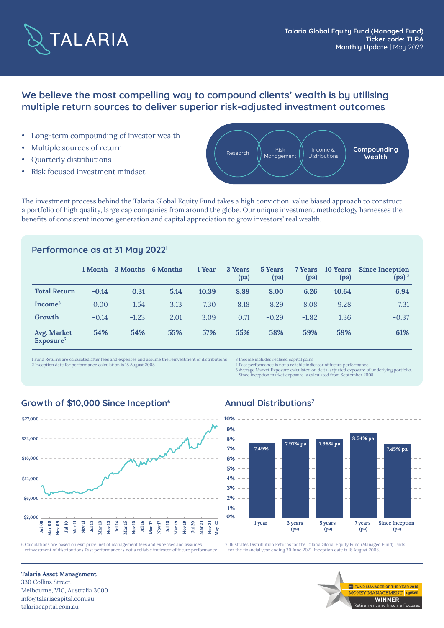

# **We believe the most compelling way to compound clients' wealth is by utilising multiple return sources to deliver superior risk-adjusted investment outcomes**

- Long-term compounding of investor wealth
- Multiple sources of return
- Quarterly distributions
- Risk focused investment mindset



The investment process behind the Talaria Global Equity Fund takes a high conviction, value biased approach to construct a portfolio of high quality, large cap companies from around the globe. Our unique investment methodology harnesses the benefits of consistent income generation and capital appreciation to grow investors' real wealth.

### **Performance as at 31 May 20221**

|                                      | 1 Month | 3 Months | 6 Months | 1 Year | 3 Years<br>(pa) | 5 Years<br>(pa) | 7 Years<br>(pa) | 10 Years<br>(pa) | <b>Since Inception</b><br>$(pa)^2$ |
|--------------------------------------|---------|----------|----------|--------|-----------------|-----------------|-----------------|------------------|------------------------------------|
| <b>Total Return</b>                  | $-0.14$ | 0.31     | 5.14     | 10.39  | 8.89            | 8.00            | 6.26            | 10.64            | 6.94                               |
| Income <sup>3</sup>                  | 0.00    | 1.54     | 3.13     | 7.30   | 8.18            | 8.29            | 8.08            | 9.28             | 7.31                               |
| Growth                               | $-0.14$ | $-1.23$  | 2.01     | 3.09   | 0.71            | $-0.29$         | $-1.82$         | 1.36             | $-0.37$                            |
| Avg. Market<br>Exposure <sup>5</sup> | 54%     | 54%      | 55%      | 57%    | 55%             | 58%             | 59%             | 59%              | 61%                                |

1 Fund Returns are calculated after fees and expenses and assume the reinvestment of distributions 2 Inception date for performance calculation is 18 August 2008

3 Income includes realised capital gains 4 Past performance is not a reliable indicator of future performance

5 Average Market Exposure calculated on delta-adjusted exposure of underlying portfolio. Since inception market exposure is calculated from September 2008

#### **Growth of \$10,000 Since Inception<sup>6</sup> Annual Distributions<sup>7</sup>**



reinvestment of distributions Past performance is not a reliable indicator of future performance



7 Illustrates Distribution Returns for the Talaria Global Equity Fund (Managed Fund) Units for the financial year ending 30 June 2021. Inception date is 18 August 2008.

> Retirement and Income Focused **WINNER**

**ME FUND MANAGER OF THE YEAR 2018 VEY MANAGEMENT** Lo

**Talaria Asset Management** 330 Collins Street Melbourne, VIC, Australia 3000 info@talariacapital.com.au talariacapital.com.au